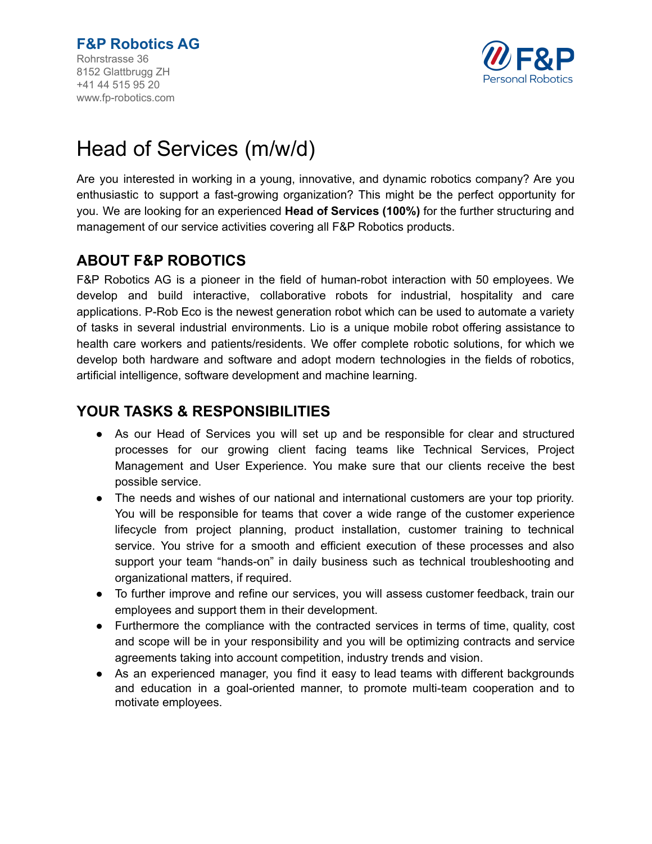

# Head of Services (m/w/d)

Are you interested in working in a young, innovative, and dynamic robotics company? Are you enthusiastic to support a fast-growing organization? This might be the perfect opportunity for you. We are looking for an experienced **Head of Services (100%)** for the further structuring and management of our service activities covering all F&P Robotics products.

# **ABOUT F&P ROBOTICS**

F&P Robotics AG is a pioneer in the field of human-robot interaction with 50 employees. We develop and build interactive, collaborative robots for industrial, hospitality and care applications. P-Rob Eco is the newest generation robot which can be used to automate a variety of tasks in several industrial environments. Lio is a unique mobile robot offering assistance to health care workers and patients/residents. We offer complete robotic solutions, for which we develop both hardware and software and adopt modern technologies in the fields of robotics, artificial intelligence, software development and machine learning.

# **YOUR TASKS & RESPONSIBILITIES**

- As our Head of Services you will set up and be responsible for clear and structured processes for our growing client facing teams like Technical Services, Project Management and User Experience. You make sure that our clients receive the best possible service.
- The needs and wishes of our national and international customers are your top priority. You will be responsible for teams that cover a wide range of the customer experience lifecycle from project planning, product installation, customer training to technical service. You strive for a smooth and efficient execution of these processes and also support your team "hands-on" in daily business such as technical troubleshooting and organizational matters, if required.
- To further improve and refine our services, you will assess customer feedback, train our employees and support them in their development.
- Furthermore the compliance with the contracted services in terms of time, quality, cost and scope will be in your responsibility and you will be optimizing contracts and service agreements taking into account competition, industry trends and vision.
- As an experienced manager, you find it easy to lead teams with different backgrounds and education in a goal-oriented manner, to promote multi-team cooperation and to motivate employees.